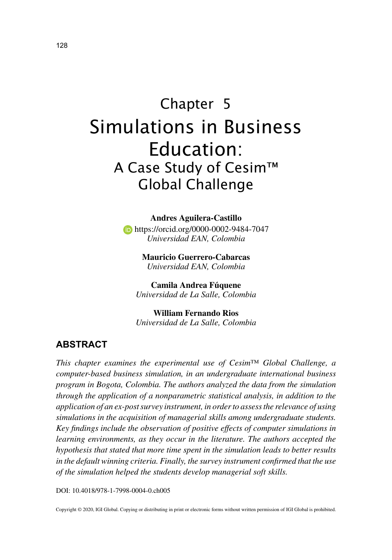# Chapter 5 Simulations in Business Education: A Case Study of Cesim™ Global Challenge

**Andres Aguilera-Castillo**

 https://orcid.org/0000-0002-9484-7047 *Universidad EAN, Colombia*

> **Mauricio Guerrero-Cabarcas** *Universidad EAN, Colombia*

**Camila Andrea Fúquene** *Universidad de La Salle, Colombia*

**William Fernando Rios** *Universidad de La Salle, Colombia*

## **ABSTRACT**

*This chapter examines the experimental use of Cesim™ Global Challenge, a computer-based business simulation, in an undergraduate international business program in Bogota, Colombia. The authors analyzed the data from the simulation through the application of a nonparametric statistical analysis, in addition to the application of an ex-post survey instrument, in order to assess the relevance of using simulations in the acquisition of managerial skills among undergraduate students. Key findings include the observation of positive effects of computer simulations in learning environments, as they occur in the literature. The authors accepted the hypothesis that stated that more time spent in the simulation leads to better results in the default winning criteria. Finally, the survey instrument confirmed that the use of the simulation helped the students develop managerial soft skills.*

DOI: 10.4018/978-1-7998-0004-0.ch005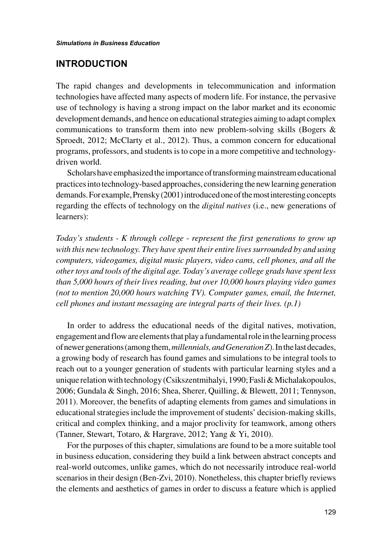## **INTRODUCTION**

The rapid changes and developments in telecommunication and information technologies have affected many aspects of modern life. For instance, the pervasive use of technology is having a strong impact on the labor market and its economic development demands, and hence on educational strategies aiming to adapt complex communications to transform them into new problem-solving skills (Bogers  $\&$ Sproedt, 2012; McClarty et al., 2012). Thus, a common concern for educational programs, professors, and students is to cope in a more competitive and technologydriven world.

Scholars have emphasized the importance of transforming mainstream educational practices into technology-based approaches, considering the new learning generation demands. For example, Prensky (2001) introduced one of the most interesting concepts regarding the effects of technology on the *digital natives* (i.e., new generations of learners):

*Today's students - K through college - represent the first generations to grow up with this new technology. They have spent their entire lives surrounded by and using computers, videogames, digital music players, video cams, cell phones, and all the other toys and tools of the digital age. Today's average college grads have spent less than 5,000 hours of their lives reading, but over 10,000 hours playing video games (not to mention 20,000 hours watching TV). Computer games, email, the Internet, cell phones and instant messaging are integral parts of their lives. (p.1)*

In order to address the educational needs of the digital natives, motivation, engagement and flow are elements that play a fundamental role in the learning process of newer generations (among them, *millennials, and Generation Z*). In the last decades, a growing body of research has found games and simulations to be integral tools to reach out to a younger generation of students with particular learning styles and a unique relation with technology (Csikszentmihalyi, 1990; Fasli & Michalakopoulos, 2006; Gundala & Singh, 2016; Shea, Sherer, Quilling, & Blewett, 2011; Tennyson, 2011). Moreover, the benefits of adapting elements from games and simulations in educational strategies include the improvement of students' decision-making skills, critical and complex thinking, and a major proclivity for teamwork, among others (Tanner, Stewart, Totaro, & Hargrave, 2012; Yang & Yi, 2010).

For the purposes of this chapter, simulations are found to be a more suitable tool in business education, considering they build a link between abstract concepts and real-world outcomes, unlike games, which do not necessarily introduce real-world scenarios in their design (Ben-Zvi, 2010). Nonetheless, this chapter briefly reviews the elements and aesthetics of games in order to discuss a feature which is applied